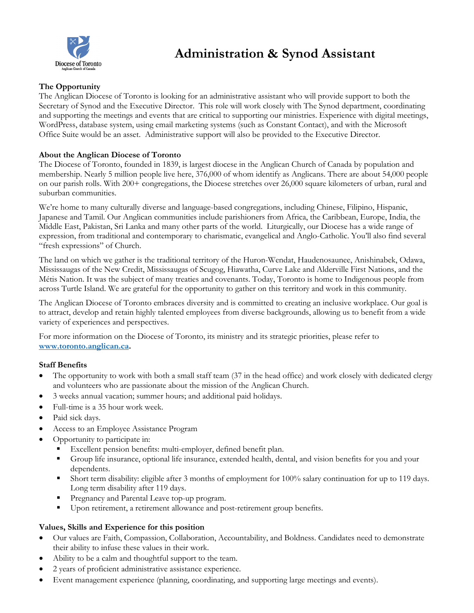

# **Administration & Synod Assistant**

## **The Opportunity**

The Anglican Diocese of Toronto is looking for an administrative assistant who will provide support to both the Secretary of Synod and the Executive Director. This role will work closely with The Synod department, coordinating and supporting the meetings and events that are critical to supporting our ministries. Experience with digital meetings, WordPress, database system, using email marketing systems (such as Constant Contact), and with the Microsoft Office Suite would be an asset. Administrative support will also be provided to the Executive Director.

## **About the Anglican Diocese of Toronto**

The Diocese of Toronto, founded in 1839, is largest diocese in the Anglican Church of Canada by population and membership. Nearly 5 million people live here, 376,000 of whom identify as Anglicans. There are about 54,000 people on our parish rolls. With 200+ congregations, the Diocese stretches over 26,000 square kilometers of urban, rural and suburban communities.

We're home to many culturally diverse and language-based congregations, including Chinese, Filipino, Hispanic, Japanese and Tamil. Our Anglican communities include parishioners from Africa, the Caribbean, Europe, India, the Middle East, Pakistan, Sri Lanka and many other parts of the world. Liturgically, our Diocese has a wide range of expression, from traditional and contemporary to charismatic, evangelical and Anglo-Catholic. You'll also find several "fresh expressions" of Church.

The land on which we gather is the traditional territory of the Huron-Wendat, Haudenosaunee, Anishinabek, Odawa, Mississaugas of the New Credit, Mississaugas of Scugog, Hiawatha, Curve Lake and Alderville First Nations, and the Métis Nation. It was the subject of many treaties and covenants. Today, Toronto is home to Indigenous people from across Turtle Island. We are grateful for the opportunity to gather on this territory and work in this community.

The Anglican Diocese of Toronto embraces diversity and is committed to creating an inclusive workplace. Our goal is to attract, develop and retain highly talented employees from diverse backgrounds, allowing us to benefit from a wide variety of experiences and perspectives.

For more information on the Diocese of Toronto, its ministry and its strategic priorities, please refer to **[www.toronto.anglican.ca.](http://www.toronto.anglican.cawww/)** 

## **Staff Benefits**

- The opportunity to work with both a small staff team (37 in the head office) and work closely with dedicated clergy and volunteers who are passionate about the mission of the Anglican Church.
- 3 weeks annual vacation; summer hours; and additional paid holidays.
- Full-time is a 35 hour work week.
- Paid sick days.
- Access to an Employee Assistance Program
- Opportunity to participate in:
	- Excellent pension benefits: multi-employer, defined benefit plan.
	- Group life insurance, optional life insurance, extended health, dental, and vision benefits for you and your dependents.
	- Short term disability: eligible after 3 months of employment for 100% salary continuation for up to 119 days. Long term disability after 119 days.
	- **Pregnancy and Parental Leave top-up program.**
	- Upon retirement, a retirement allowance and post-retirement group benefits.

## **Values, Skills and Experience for this position**

- Our values are Faith, Compassion, Collaboration, Accountability, and Boldness. Candidates need to demonstrate their ability to infuse these values in their work.
- Ability to be a calm and thoughtful support to the team.
- 2 years of proficient administrative assistance experience.
- Event management experience (planning, coordinating, and supporting large meetings and events).